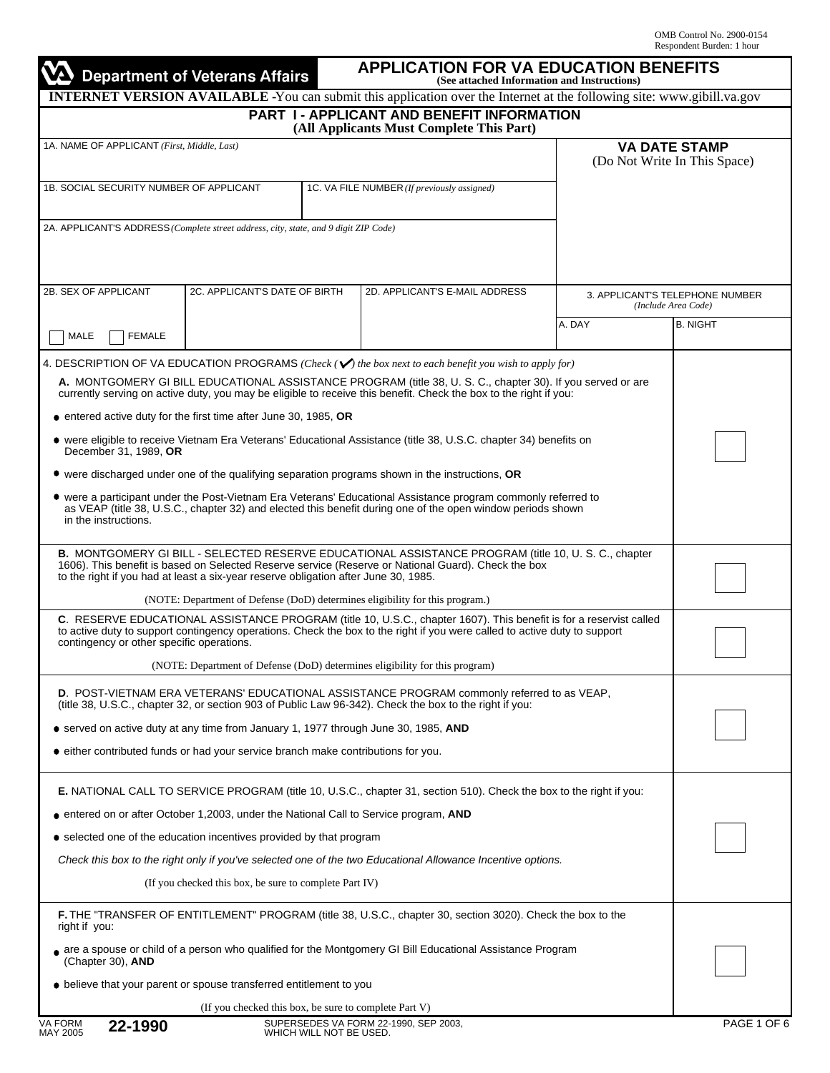|                                                                                                                                                                                                                                                                                                                                                                                                                                                                     | <b>Department of Veterans Affairs</b>                           |  | (See attached Information and Instructions)<br><b>INTERNET VERSION AVAILABLE -You can submit this application over the Internet at the following site: www.gibill.va.gov</b>                                                                                                                                                                                                                                                                                                                                                                                                                                                                                                                                                                                                                                            |        |                                                        |                                                      |
|---------------------------------------------------------------------------------------------------------------------------------------------------------------------------------------------------------------------------------------------------------------------------------------------------------------------------------------------------------------------------------------------------------------------------------------------------------------------|-----------------------------------------------------------------|--|-------------------------------------------------------------------------------------------------------------------------------------------------------------------------------------------------------------------------------------------------------------------------------------------------------------------------------------------------------------------------------------------------------------------------------------------------------------------------------------------------------------------------------------------------------------------------------------------------------------------------------------------------------------------------------------------------------------------------------------------------------------------------------------------------------------------------|--------|--------------------------------------------------------|------------------------------------------------------|
|                                                                                                                                                                                                                                                                                                                                                                                                                                                                     |                                                                 |  | PART I - APPLICANT AND BENEFIT INFORMATION<br>(All Applicants Must Complete This Part)                                                                                                                                                                                                                                                                                                                                                                                                                                                                                                                                                                                                                                                                                                                                  |        |                                                        |                                                      |
| 1A. NAME OF APPLICANT (First, Middle, Last)                                                                                                                                                                                                                                                                                                                                                                                                                         |                                                                 |  |                                                                                                                                                                                                                                                                                                                                                                                                                                                                                                                                                                                                                                                                                                                                                                                                                         |        |                                                        | <b>VA DATE STAMP</b><br>(Do Not Write In This Space) |
| 1B. SOCIAL SECURITY NUMBER OF APPLICANT                                                                                                                                                                                                                                                                                                                                                                                                                             |                                                                 |  | 1C. VA FILE NUMBER (If previously assigned)                                                                                                                                                                                                                                                                                                                                                                                                                                                                                                                                                                                                                                                                                                                                                                             |        |                                                        |                                                      |
| 2A. APPLICANT'S ADDRESS (Complete street address, city, state, and 9 digit ZIP Code)                                                                                                                                                                                                                                                                                                                                                                                |                                                                 |  |                                                                                                                                                                                                                                                                                                                                                                                                                                                                                                                                                                                                                                                                                                                                                                                                                         |        |                                                        |                                                      |
| 2B. SEX OF APPLICANT                                                                                                                                                                                                                                                                                                                                                                                                                                                | 2C. APPLICANT'S DATE OF BIRTH<br>2D. APPLICANT'S E-MAIL ADDRESS |  |                                                                                                                                                                                                                                                                                                                                                                                                                                                                                                                                                                                                                                                                                                                                                                                                                         |        | 3. APPLICANT'S TELEPHONE NUMBER<br>(Include Area Code) |                                                      |
| <b>FEMALE</b><br>MALE                                                                                                                                                                                                                                                                                                                                                                                                                                               |                                                                 |  |                                                                                                                                                                                                                                                                                                                                                                                                                                                                                                                                                                                                                                                                                                                                                                                                                         | A. DAY |                                                        | <b>B. NIGHT</b>                                      |
| • entered active duty for the first time after June 30, 1985, OR<br>December 31, 1989, OR<br>in the instructions.                                                                                                                                                                                                                                                                                                                                                   |                                                                 |  | 4. DESCRIPTION OF VA EDUCATION PROGRAMS (Check ( $\blacktriangledown$ ) the box next to each benefit you wish to apply for)<br>A. MONTGOMERY GI BILL EDUCATIONAL ASSISTANCE PROGRAM (title 38, U. S. C., chapter 30). If you served or are<br>currently serving on active duty, you may be eligible to receive this benefit. Check the box to the right if you:<br>• were eligible to receive Vietnam Era Veterans' Educational Assistance (title 38, U.S.C. chapter 34) benefits on<br>• were discharged under one of the qualifying separation programs shown in the instructions, OR<br>• were a participant under the Post-Vietnam Era Veterans' Educational Assistance program commonly referred to<br>as VEAP (title 38, U.S.C., chapter 32) and elected this benefit during one of the open window periods shown |        |                                                        |                                                      |
| to the right if you had at least a six-year reserve obligation after June 30, 1985.                                                                                                                                                                                                                                                                                                                                                                                 |                                                                 |  | B. MONTGOMERY GI BILL - SELECTED RESERVE EDUCATIONAL ASSISTANCE PROGRAM (title 10, U. S. C., chapter<br>1606). This benefit is based on Selected Reserve service (Reserve or National Guard). Check the box<br>(NOTE: Department of Defense (DoD) determines eligibility for this program.)                                                                                                                                                                                                                                                                                                                                                                                                                                                                                                                             |        |                                                        |                                                      |
| contingency or other specific operations.                                                                                                                                                                                                                                                                                                                                                                                                                           |                                                                 |  | C. RESERVE EDUCATIONAL ASSISTANCE PROGRAM (title 10, U.S.C., chapter 1607). This benefit is for a reservist called<br>to active duty to support contingency operations. Check the box to the right if you were called to active duty to support<br>(NOTE: Department of Defense (DoD) determines eligibility for this program)                                                                                                                                                                                                                                                                                                                                                                                                                                                                                          |        |                                                        |                                                      |
| • served on active duty at any time from January 1, 1977 through June 30, 1985, AND<br>• either contributed funds or had your service branch make contributions for you.                                                                                                                                                                                                                                                                                            |                                                                 |  | D. POST-VIETNAM ERA VETERANS' EDUCATIONAL ASSISTANCE PROGRAM commonly referred to as VEAP,<br>(title 38, U.S.C., chapter 32, or section 903 of Public Law 96-342). Check the box to the right if you:                                                                                                                                                                                                                                                                                                                                                                                                                                                                                                                                                                                                                   |        |                                                        |                                                      |
| <b>E.</b> NATIONAL CALL TO SERVICE PROGRAM (title 10, U.S.C., chapter 31, section 510). Check the box to the right if you:<br>• entered on or after October 1,2003, under the National Call to Service program, AND<br>• selected one of the education incentives provided by that program<br>Check this box to the right only if you've selected one of the two Educational Allowance Incentive options.<br>(If you checked this box, be sure to complete Part IV) |                                                                 |  |                                                                                                                                                                                                                                                                                                                                                                                                                                                                                                                                                                                                                                                                                                                                                                                                                         |        |                                                        |                                                      |
| right if you:<br>(Chapter 30), AND<br>• believe that your parent or spouse transferred entitlement to you                                                                                                                                                                                                                                                                                                                                                           |                                                                 |  | F. THE "TRANSFER OF ENTITLEMENT" PROGRAM (title 38, U.S.C., chapter 30, section 3020). Check the box to the<br>are a spouse or child of a person who qualified for the Montgomery GI Bill Educational Assistance Program                                                                                                                                                                                                                                                                                                                                                                                                                                                                                                                                                                                                |        |                                                        |                                                      |
|                                                                                                                                                                                                                                                                                                                                                                                                                                                                     | (If you checked this box, be sure to complete Part V)           |  |                                                                                                                                                                                                                                                                                                                                                                                                                                                                                                                                                                                                                                                                                                                                                                                                                         |        |                                                        |                                                      |
| <b>VA FORM</b><br>$22 - 4000$                                                                                                                                                                                                                                                                                                                                                                                                                                       |                                                                 |  | SUPERSEDES VA FORM 22-1990. SEP 2003.                                                                                                                                                                                                                                                                                                                                                                                                                                                                                                                                                                                                                                                                                                                                                                                   |        |                                                        | PAGE 1 OF 6                                          |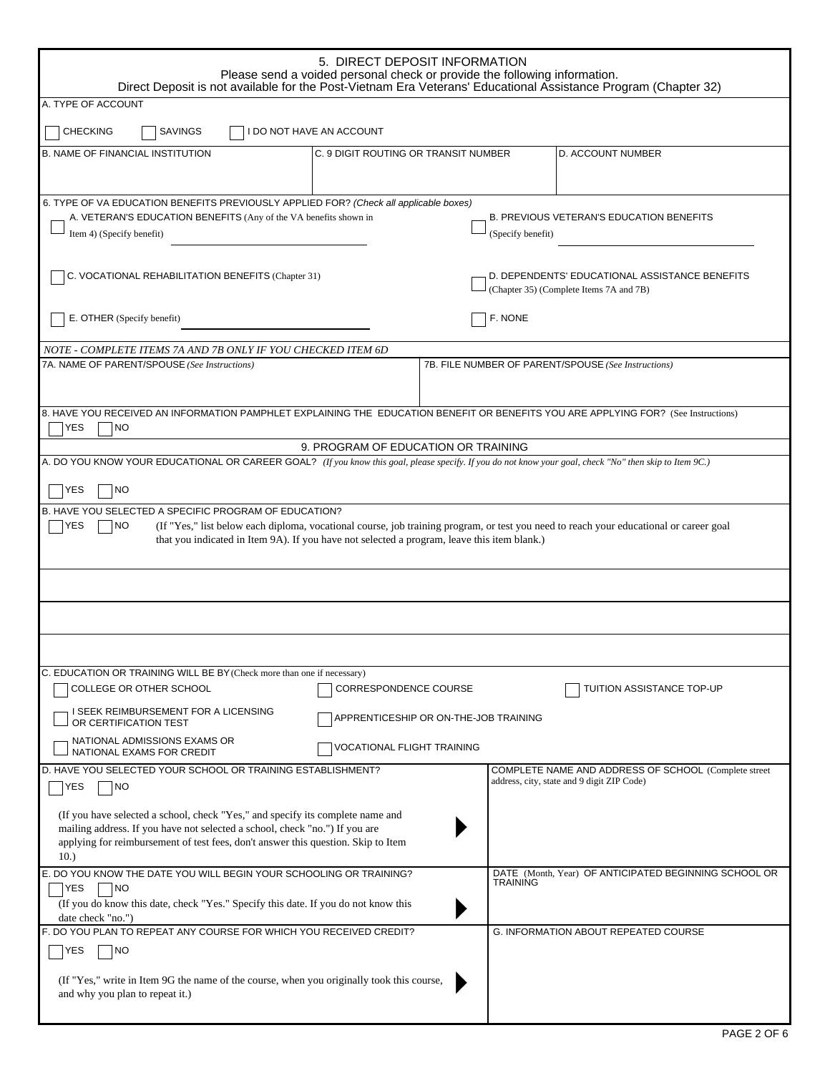| 5. DIRECT DEPOSIT INFORMATION<br>Please send a voided personal check or provide the following information.<br>Direct Deposit is not available for the Post-Vietnam Era Veterans' Educational Assistance Program (Chapter 32)                                                                                |                                                                                                    |  |  |  |  |  |  |
|-------------------------------------------------------------------------------------------------------------------------------------------------------------------------------------------------------------------------------------------------------------------------------------------------------------|----------------------------------------------------------------------------------------------------|--|--|--|--|--|--|
| A. TYPE OF ACCOUNT                                                                                                                                                                                                                                                                                          |                                                                                                    |  |  |  |  |  |  |
| <b>CHECKING</b><br>SAVINGS<br>I DO NOT HAVE AN ACCOUNT                                                                                                                                                                                                                                                      |                                                                                                    |  |  |  |  |  |  |
| <b>B. NAME OF FINANCIAL INSTITUTION</b>                                                                                                                                                                                                                                                                     | D. ACCOUNT NUMBER<br>C. 9 DIGIT ROUTING OR TRANSIT NUMBER                                          |  |  |  |  |  |  |
| 6. TYPE OF VA EDUCATION BENEFITS PREVIOUSLY APPLIED FOR? (Check all applicable boxes)<br>A. VETERAN'S EDUCATION BENEFITS (Any of the VA benefits shown in<br>Item 4) (Specify benefit)                                                                                                                      | <b>B. PREVIOUS VETERAN'S EDUCATION BENEFITS</b><br>(Specify benefit)                               |  |  |  |  |  |  |
| C. VOCATIONAL REHABILITATION BENEFITS (Chapter 31)                                                                                                                                                                                                                                                          | D. DEPENDENTS' EDUCATIONAL ASSISTANCE BENEFITS<br>(Chapter 35) (Complete Items 7A and 7B)          |  |  |  |  |  |  |
| E. OTHER (Specify benefit)                                                                                                                                                                                                                                                                                  | F. NONE                                                                                            |  |  |  |  |  |  |
| NOTE - COMPLETE ITEMS 7A AND 7B ONLY IF YOU CHECKED ITEM 6D                                                                                                                                                                                                                                                 |                                                                                                    |  |  |  |  |  |  |
| 7A. NAME OF PARENT/SPOUSE (See Instructions)                                                                                                                                                                                                                                                                | 7B. FILE NUMBER OF PARENT/SPOUSE (See Instructions)                                                |  |  |  |  |  |  |
| 8. HAVE YOU RECEIVED AN INFORMATION PAMPHLET EXPLAINING THE EDUCATION BENEFIT OR BENEFITS YOU ARE APPLYING FOR? (See Instructions)<br>YES<br>NO                                                                                                                                                             |                                                                                                    |  |  |  |  |  |  |
|                                                                                                                                                                                                                                                                                                             | 9. PROGRAM OF EDUCATION OR TRAINING                                                                |  |  |  |  |  |  |
| A. DO YOU KNOW YOUR EDUCATIONAL OR CAREER GOAL? (If you know this goal, please specify. If you do not know your goal, check "No" then skip to Item 9C.)                                                                                                                                                     |                                                                                                    |  |  |  |  |  |  |
| YES<br><b>NO</b>                                                                                                                                                                                                                                                                                            |                                                                                                    |  |  |  |  |  |  |
| B. HAVE YOU SELECTED A SPECIFIC PROGRAM OF EDUCATION?<br>NO<br>(If "Yes," list below each diploma, vocational course, job training program, or test you need to reach your educational or career goal<br>YES<br>that you indicated in Item 9A). If you have not selected a program, leave this item blank.) |                                                                                                    |  |  |  |  |  |  |
|                                                                                                                                                                                                                                                                                                             |                                                                                                    |  |  |  |  |  |  |
|                                                                                                                                                                                                                                                                                                             |                                                                                                    |  |  |  |  |  |  |
|                                                                                                                                                                                                                                                                                                             |                                                                                                    |  |  |  |  |  |  |
| C. EDUCATION OR TRAINING WILL BE BY (Check more than one if necessary)<br>COLLEGE OR OTHER SCHOOL                                                                                                                                                                                                           | CORRESPONDENCE COURSE<br>TUITION ASSISTANCE TOP-UP                                                 |  |  |  |  |  |  |
| I SEEK REIMBURSEMENT FOR A LICENSING<br>APPRENTICESHIP OR ON-THE-JOB TRAINING<br>OR CERTIFICATION TEST                                                                                                                                                                                                      |                                                                                                    |  |  |  |  |  |  |
| NATIONAL ADMISSIONS EXAMS OR<br>VOCATIONAL FLIGHT TRAINING<br>NATIONAL EXAMS FOR CREDIT                                                                                                                                                                                                                     |                                                                                                    |  |  |  |  |  |  |
| D. HAVE YOU SELECTED YOUR SCHOOL OR TRAINING ESTABLISHMENT?<br>YES<br> NO                                                                                                                                                                                                                                   | COMPLETE NAME AND ADDRESS OF SCHOOL (Complete street<br>address, city, state and 9 digit ZIP Code) |  |  |  |  |  |  |
| (If you have selected a school, check "Yes," and specify its complete name and<br>mailing address. If you have not selected a school, check "no.") If you are<br>applying for reimbursement of test fees, don't answer this question. Skip to Item<br>10.)                                                  |                                                                                                    |  |  |  |  |  |  |
| E. DO YOU KNOW THE DATE YOU WILL BEGIN YOUR SCHOOLING OR TRAINING?<br><b>YES</b><br><b>NO</b><br>(If you do know this date, check "Yes." Specify this date. If you do not know this<br>date check "no.")                                                                                                    | DATE (Month, Year) OF ANTICIPATED BEGINNING SCHOOL OR<br>TRAINING                                  |  |  |  |  |  |  |
| F. DO YOU PLAN TO REPEAT ANY COURSE FOR WHICH YOU RECEIVED CREDIT?<br>YES<br> NO                                                                                                                                                                                                                            | G. INFORMATION ABOUT REPEATED COURSE                                                               |  |  |  |  |  |  |
| (If "Yes," write in Item 9G the name of the course, when you originally took this course,<br>and why you plan to repeat it.)                                                                                                                                                                                |                                                                                                    |  |  |  |  |  |  |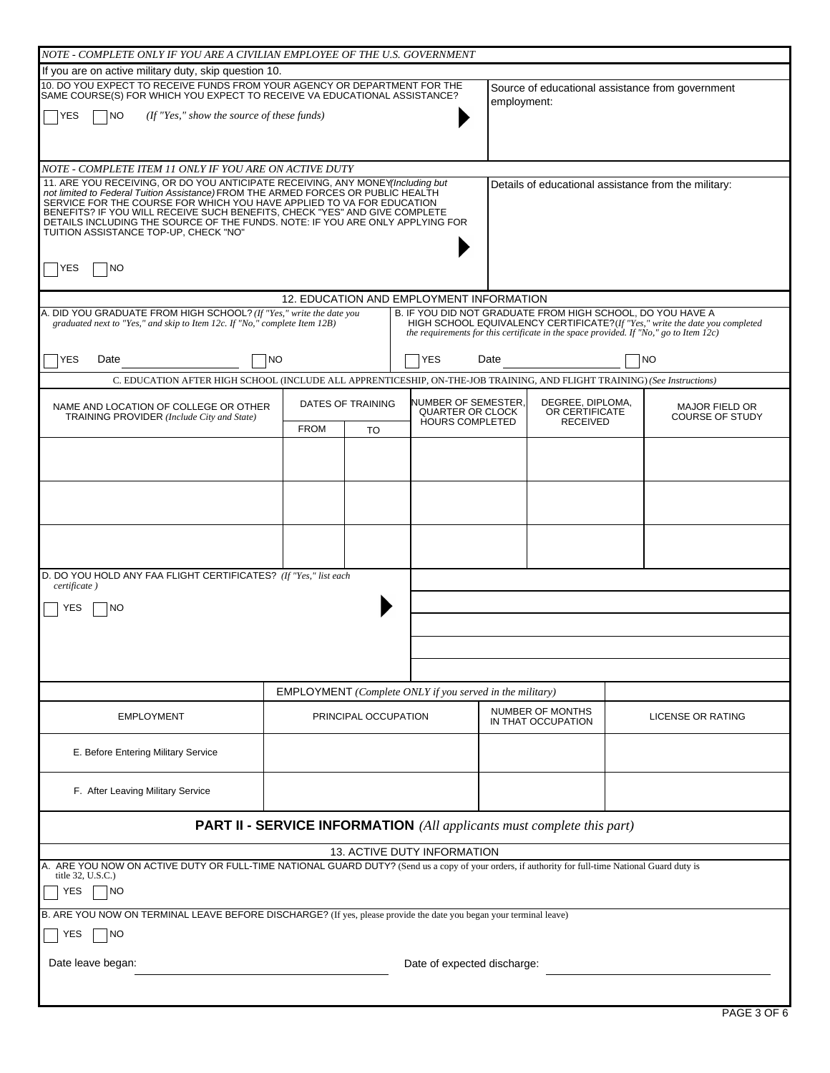| NOTE - COMPLETE ONLY IF YOU ARE A CIVILIAN EMPLOYEE OF THE U.S. GOVERNMENT                                                                                                                                                                                                                                                                                                                                                                                        |             |                      |                                                                          |             |                                                                                          |  |                                                                              |
|-------------------------------------------------------------------------------------------------------------------------------------------------------------------------------------------------------------------------------------------------------------------------------------------------------------------------------------------------------------------------------------------------------------------------------------------------------------------|-------------|----------------------|--------------------------------------------------------------------------|-------------|------------------------------------------------------------------------------------------|--|------------------------------------------------------------------------------|
| If you are on active military duty, skip question 10.                                                                                                                                                                                                                                                                                                                                                                                                             |             |                      |                                                                          |             |                                                                                          |  |                                                                              |
| 10. DO YOU EXPECT TO RECEIVE FUNDS FROM YOUR AGENCY OR DEPARTMENT FOR THE SAME COURSE(S) FOR WHICH YOU EXPECT TO RECEIVE VA EDUCATIONAL ASSISTANCE?                                                                                                                                                                                                                                                                                                               |             |                      |                                                                          | employment: |                                                                                          |  | Source of educational assistance from government                             |
| (If "Yes," show the source of these funds)<br>NO<br>YES                                                                                                                                                                                                                                                                                                                                                                                                           |             |                      |                                                                          |             |                                                                                          |  |                                                                              |
|                                                                                                                                                                                                                                                                                                                                                                                                                                                                   |             |                      |                                                                          |             |                                                                                          |  |                                                                              |
| NOTE - COMPLETE ITEM 11 ONLY IF YOU ARE ON ACTIVE DUTY                                                                                                                                                                                                                                                                                                                                                                                                            |             |                      |                                                                          |             |                                                                                          |  |                                                                              |
| 11. ARE YOU RECEIVING, OR DO YOU ANTICIPATE RECEIVING, ANY MONEY(Including but<br>not limited to Federal Tuition Assistance) FROM THE ARMED FORCES OR PUBLIC HEALTH<br>SERVICE FOR THE COURSE FOR WHICH YOU HAVE APPLIED TO VA FOR EDUCATION<br>BENEFITS? IF YOU WILL RECEIVE SUCH BENEFITS, CHECK "YES" AND GIVE COMPLETE<br>DETAILS INCLUDING THE SOURCE OF THE FUNDS. NOTE: IF YOU ARE ONLY APPLYING FOR<br>TUITION ASSISTANCE TOP-UP, CHECK "NO"<br>NO<br>YES |             |                      |                                                                          |             |                                                                                          |  | Details of educational assistance from the military:                         |
|                                                                                                                                                                                                                                                                                                                                                                                                                                                                   |             |                      |                                                                          |             |                                                                                          |  |                                                                              |
|                                                                                                                                                                                                                                                                                                                                                                                                                                                                   |             |                      | 12. EDUCATION AND EMPLOYMENT INFORMATION                                 |             |                                                                                          |  |                                                                              |
| A. DID YOU GRADUATE FROM HIGH SCHOOL? (If "Yes," write the date you<br>graduated next to "Yes," and skip to Item 12c. If "No," complete Item 12B)                                                                                                                                                                                                                                                                                                                 |             |                      | B. IF YOU DID NOT GRADUATE FROM HIGH SCHOOL, DO YOU HAVE A               |             | the requirements for this certificate in the space provided. If "No," go to Item $12c$ ) |  | HIGH SCHOOL EQUIVALENCY CERTIFICATE? (If "Yes," write the date you completed |
| YES<br>Date<br>NO                                                                                                                                                                                                                                                                                                                                                                                                                                                 |             |                      | YES                                                                      | Date        |                                                                                          |  | <b>NO</b>                                                                    |
| C. EDUCATION AFTER HIGH SCHOOL (INCLUDE ALL APPRENTICESHIP, ON-THE-JOB TRAINING, AND FLIGHT TRAINING) (See Instructions)                                                                                                                                                                                                                                                                                                                                          |             |                      |                                                                          |             |                                                                                          |  |                                                                              |
| NAME AND LOCATION OF COLLEGE OR OTHER<br>TRAINING PROVIDER (Include City and State)                                                                                                                                                                                                                                                                                                                                                                               |             | DATES OF TRAINING    | NUMBER OF SEMESTER,<br><b>QUARTER OR CLOCK</b><br><b>HOURS COMPLETED</b> |             | DEGREE, DIPLOMA,<br>OR CERTIFICATE<br><b>RECEIVED</b>                                    |  | <b>MAJOR FIELD OR</b><br><b>COURSE OF STUDY</b>                              |
|                                                                                                                                                                                                                                                                                                                                                                                                                                                                   | <b>FROM</b> | <b>TO</b>            |                                                                          |             |                                                                                          |  |                                                                              |
|                                                                                                                                                                                                                                                                                                                                                                                                                                                                   |             |                      |                                                                          |             |                                                                                          |  |                                                                              |
|                                                                                                                                                                                                                                                                                                                                                                                                                                                                   |             |                      |                                                                          |             |                                                                                          |  |                                                                              |
|                                                                                                                                                                                                                                                                                                                                                                                                                                                                   |             |                      |                                                                          |             |                                                                                          |  |                                                                              |
| D. DO YOU HOLD ANY FAA FLIGHT CERTIFICATES? (If "Yes," list each<br>certificate)                                                                                                                                                                                                                                                                                                                                                                                  |             |                      |                                                                          |             |                                                                                          |  |                                                                              |
| YES<br>NO                                                                                                                                                                                                                                                                                                                                                                                                                                                         |             |                      |                                                                          |             |                                                                                          |  |                                                                              |
|                                                                                                                                                                                                                                                                                                                                                                                                                                                                   |             |                      |                                                                          |             |                                                                                          |  |                                                                              |
|                                                                                                                                                                                                                                                                                                                                                                                                                                                                   |             |                      |                                                                          |             |                                                                                          |  |                                                                              |
|                                                                                                                                                                                                                                                                                                                                                                                                                                                                   |             |                      |                                                                          |             |                                                                                          |  |                                                                              |
|                                                                                                                                                                                                                                                                                                                                                                                                                                                                   |             |                      | <b>EMPLOYMENT</b> (Complete ONLY if you served in the military)          |             |                                                                                          |  |                                                                              |
| <b>EMPLOYMENT</b>                                                                                                                                                                                                                                                                                                                                                                                                                                                 |             | PRINCIPAL OCCUPATION |                                                                          |             | NUMBER OF MONTHS<br>IN THAT OCCUPATION                                                   |  | <b>LICENSE OR RATING</b>                                                     |
| E. Before Entering Military Service                                                                                                                                                                                                                                                                                                                                                                                                                               |             |                      |                                                                          |             |                                                                                          |  |                                                                              |
| F. After Leaving Military Service                                                                                                                                                                                                                                                                                                                                                                                                                                 |             |                      |                                                                          |             |                                                                                          |  |                                                                              |
| <b>PART II - SERVICE INFORMATION</b> (All applicants must complete this part)                                                                                                                                                                                                                                                                                                                                                                                     |             |                      |                                                                          |             |                                                                                          |  |                                                                              |
| <b>13. ACTIVE DUTY INFORMATION</b>                                                                                                                                                                                                                                                                                                                                                                                                                                |             |                      |                                                                          |             |                                                                                          |  |                                                                              |
| A. ARE YOU NOW ON ACTIVE DUTY OR FULL-TIME NATIONAL GUARD DUTY? (Send us a copy of your orders, if authority for full-time National Guard duty is<br>title 32, U.S.C.)<br>YES<br> NO                                                                                                                                                                                                                                                                              |             |                      |                                                                          |             |                                                                                          |  |                                                                              |
| B. ARE YOU NOW ON TERMINAL LEAVE BEFORE DISCHARGE? (If yes, please provide the date you began your terminal leave)                                                                                                                                                                                                                                                                                                                                                |             |                      |                                                                          |             |                                                                                          |  |                                                                              |
| YES<br>NO                                                                                                                                                                                                                                                                                                                                                                                                                                                         |             |                      |                                                                          |             |                                                                                          |  |                                                                              |
| Date leave began:<br>Date of expected discharge:                                                                                                                                                                                                                                                                                                                                                                                                                  |             |                      |                                                                          |             |                                                                                          |  |                                                                              |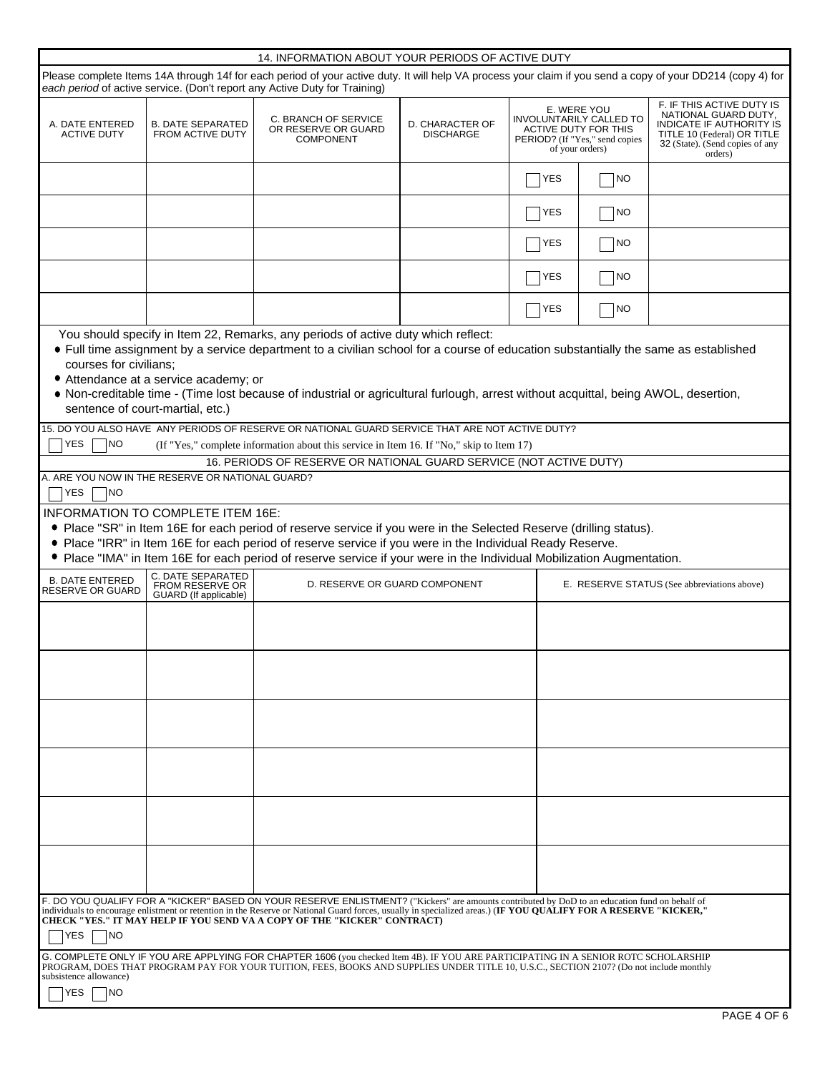|                                                                                                                                                                                                                                                                                                                                                                                                                    | 14. INFORMATION ABOUT YOUR PERIODS OF ACTIVE DUTY                         |                                                                                                                                                                                                                                                                                                                                                                                                           |  |            |    |  |  |
|--------------------------------------------------------------------------------------------------------------------------------------------------------------------------------------------------------------------------------------------------------------------------------------------------------------------------------------------------------------------------------------------------------------------|---------------------------------------------------------------------------|-----------------------------------------------------------------------------------------------------------------------------------------------------------------------------------------------------------------------------------------------------------------------------------------------------------------------------------------------------------------------------------------------------------|--|------------|----|--|--|
| Please complete Items 14A through 14f for each period of your active duty. It will help VA process your claim if you send a copy of your DD214 (copy 4) for<br>each period of active service. (Don't report any Active Duty for Training)                                                                                                                                                                          |                                                                           |                                                                                                                                                                                                                                                                                                                                                                                                           |  |            |    |  |  |
| A. DATE ENTERED<br><b>ACTIVE DUTY</b>                                                                                                                                                                                                                                                                                                                                                                              | <b>B. DATE SEPARATED</b><br><b>FROM ACTIVE DUTY</b>                       | F. IF THIS ACTIVE DUTY IS<br>E. WERE YOU<br>NATIONAL GUARD DUTY,<br><b>INVOLUNTARILY CALLED TO</b><br>C. BRANCH OF SERVICE<br>D. CHARACTER OF<br><b>INDICATE IF AUTHORITY IS</b><br>OR RESERVE OR GUARD<br>ACTIVE DUTY FOR THIS<br><b>DISCHARGE</b><br>TITLE 10 (Federal) OR TITLE<br><b>COMPONENT</b><br>PERIOD? (If "Yes," send copies<br>32 (State). (Send copies of any<br>of your orders)<br>orders) |  |            |    |  |  |
|                                                                                                                                                                                                                                                                                                                                                                                                                    |                                                                           |                                                                                                                                                                                                                                                                                                                                                                                                           |  | YES        | NO |  |  |
|                                                                                                                                                                                                                                                                                                                                                                                                                    |                                                                           |                                                                                                                                                                                                                                                                                                                                                                                                           |  | <b>YES</b> | NO |  |  |
|                                                                                                                                                                                                                                                                                                                                                                                                                    |                                                                           |                                                                                                                                                                                                                                                                                                                                                                                                           |  | YES        | NO |  |  |
|                                                                                                                                                                                                                                                                                                                                                                                                                    |                                                                           |                                                                                                                                                                                                                                                                                                                                                                                                           |  | <b>YES</b> | NO |  |  |
|                                                                                                                                                                                                                                                                                                                                                                                                                    |                                                                           |                                                                                                                                                                                                                                                                                                                                                                                                           |  | YES        | NO |  |  |
| courses for civilians;                                                                                                                                                                                                                                                                                                                                                                                             | • Attendance at a service academy; or<br>sentence of court-martial, etc.) | You should specify in Item 22, Remarks, any periods of active duty which reflect:<br>• Full time assignment by a service department to a civilian school for a course of education substantially the same as established<br>. Non-creditable time - (Time lost because of industrial or agricultural furlough, arrest without acquittal, being AWOL, desertion,                                           |  |            |    |  |  |
| <b>YES</b><br><b>NO</b>                                                                                                                                                                                                                                                                                                                                                                                            |                                                                           | 15. DO YOU ALSO HAVE ANY PERIODS OF RESERVE OR NATIONAL GUARD SERVICE THAT ARE NOT ACTIVE DUTY?<br>(If "Yes," complete information about this service in Item 16. If "No," skip to Item 17)                                                                                                                                                                                                               |  |            |    |  |  |
|                                                                                                                                                                                                                                                                                                                                                                                                                    |                                                                           | 16. PERIODS OF RESERVE OR NATIONAL GUARD SERVICE (NOT ACTIVE DUTY)                                                                                                                                                                                                                                                                                                                                        |  |            |    |  |  |
| <b>YES</b><br><b>INO</b>                                                                                                                                                                                                                                                                                                                                                                                           | A. ARE YOU NOW IN THE RESERVE OR NATIONAL GUARD?                          |                                                                                                                                                                                                                                                                                                                                                                                                           |  |            |    |  |  |
| <b>INFORMATION TO COMPLETE ITEM 16E:</b><br>• Place "SR" in Item 16E for each period of reserve service if you were in the Selected Reserve (drilling status).<br>. Place "IRR" in Item 16E for each period of reserve service if you were in the Individual Ready Reserve.<br>• Place "IMA" in Item 16E for each period of reserve service if your were in the Individual Mobilization Augmentation.              |                                                                           |                                                                                                                                                                                                                                                                                                                                                                                                           |  |            |    |  |  |
| <b>B. DATE ENTERED</b><br><b>RESERVE OR GUARD</b>                                                                                                                                                                                                                                                                                                                                                                  | C. DATE SEPARATED<br><b>FROM RESERVE OR</b><br>GUARD (If applicable)      | D. RESERVE OR GUARD COMPONENT<br>E. RESERVE STATUS (See abbreviations above)                                                                                                                                                                                                                                                                                                                              |  |            |    |  |  |
|                                                                                                                                                                                                                                                                                                                                                                                                                    |                                                                           |                                                                                                                                                                                                                                                                                                                                                                                                           |  |            |    |  |  |
|                                                                                                                                                                                                                                                                                                                                                                                                                    |                                                                           |                                                                                                                                                                                                                                                                                                                                                                                                           |  |            |    |  |  |
|                                                                                                                                                                                                                                                                                                                                                                                                                    |                                                                           |                                                                                                                                                                                                                                                                                                                                                                                                           |  |            |    |  |  |
|                                                                                                                                                                                                                                                                                                                                                                                                                    |                                                                           |                                                                                                                                                                                                                                                                                                                                                                                                           |  |            |    |  |  |
|                                                                                                                                                                                                                                                                                                                                                                                                                    |                                                                           |                                                                                                                                                                                                                                                                                                                                                                                                           |  |            |    |  |  |
|                                                                                                                                                                                                                                                                                                                                                                                                                    |                                                                           |                                                                                                                                                                                                                                                                                                                                                                                                           |  |            |    |  |  |
| F. DO YOU QUALIFY FOR A "KICKER" BASED ON YOUR RESERVE ENLISTMENT? ("Kickers" are amounts contributed by DoD to an education fund on behalf of<br>individuals to encourage enlistment or retention in the Reserve or National Guard forces, usually in specialized areas.) (IF YOU QUALIFY FOR A RESERVE "KICKER,"<br>CHECK "YES." IT MAY HELP IF YOU SEND VA A COPY OF THE "KICKER" CONTRACT)<br>YES<br><b>NO</b> |                                                                           |                                                                                                                                                                                                                                                                                                                                                                                                           |  |            |    |  |  |
| G. COMPLETE ONLY IF YOU ARE APPLYING FOR CHAPTER 1606 (you checked Item 4B). IF YOU ARE PARTICIPATING IN A SENIOR ROTC SCHOLARSHIP<br>PROGRAM, DOES THAT PROGRAM PAY FOR YOUR TUITION, FEES, BOOKS AND SUPPLIES UNDER TITLE 10, U.S.C., SECTION 2107? (Do not include monthly<br>subsistence allowance)<br>YES<br>I NO                                                                                             |                                                                           |                                                                                                                                                                                                                                                                                                                                                                                                           |  |            |    |  |  |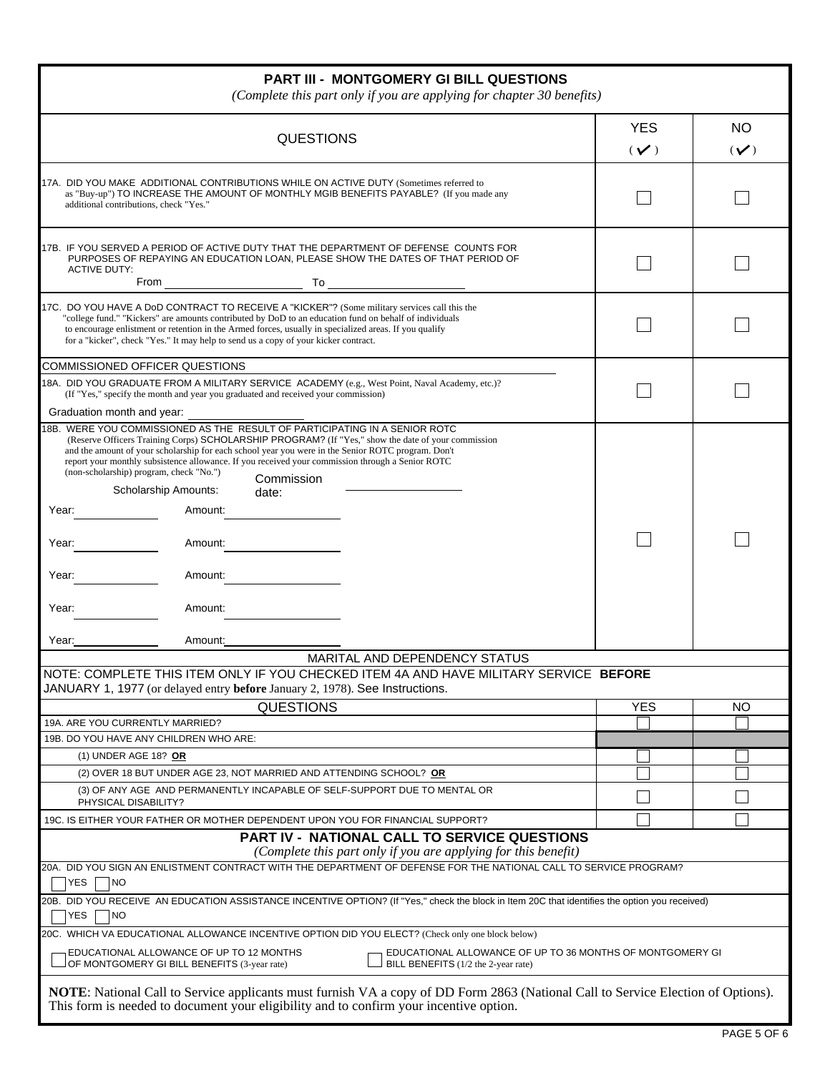| <b>PART III - MONTGOMERY GI BILL QUESTIONS</b><br>(Complete this part only if you are applying for chapter 30 benefits)                                                                                                                                                                                                                                                                                                                                                                                                                                                                                                                                 |                        |                       |  |  |  |  |
|---------------------------------------------------------------------------------------------------------------------------------------------------------------------------------------------------------------------------------------------------------------------------------------------------------------------------------------------------------------------------------------------------------------------------------------------------------------------------------------------------------------------------------------------------------------------------------------------------------------------------------------------------------|------------------------|-----------------------|--|--|--|--|
| <b>QUESTIONS</b>                                                                                                                                                                                                                                                                                                                                                                                                                                                                                                                                                                                                                                        | <b>YES</b><br>$(\vee)$ | <b>NO</b><br>$(\vee)$ |  |  |  |  |
| 17A. DID YOU MAKE ADDITIONAL CONTRIBUTIONS WHILE ON ACTIVE DUTY (Sometimes referred to<br>as "Buy-up") TO INCREASE THE AMOUNT OF MONTHLY MGIB BENEFITS PAYABLE? (If you made any<br>additional contributions, check "Yes."                                                                                                                                                                                                                                                                                                                                                                                                                              |                        |                       |  |  |  |  |
| 17B. IF YOU SERVED A PERIOD OF ACTIVE DUTY THAT THE DEPARTMENT OF DEFENSE COUNTS FOR<br>PURPOSES OF REPAYING AN EDUCATION LOAN, PLEASE SHOW THE DATES OF THAT PERIOD OF<br><b>ACTIVE DUTY:</b><br>$\overline{a}$ To $\overline{a}$ To $\overline{a}$ To $\overline{a}$<br>From                                                                                                                                                                                                                                                                                                                                                                          |                        |                       |  |  |  |  |
| 17C. DO YOU HAVE A DoD CONTRACT TO RECEIVE A "KICKER"? (Some military services call this the<br>"college fund." "Kickers" are amounts contributed by DoD to an education fund on behalf of individuals<br>to encourage enlistment or retention in the Armed forces, usually in specialized areas. If you qualify<br>for a "kicker", check "Yes." It may help to send us a copy of your kicker contract.                                                                                                                                                                                                                                                 |                        |                       |  |  |  |  |
| <b>COMMISSIONED OFFICER QUESTIONS</b>                                                                                                                                                                                                                                                                                                                                                                                                                                                                                                                                                                                                                   |                        |                       |  |  |  |  |
| 18A. DID YOU GRADUATE FROM A MILITARY SERVICE ACADEMY (e.g., West Point, Naval Academy, etc.)?<br>(If "Yes," specify the month and year you graduated and received your commission)                                                                                                                                                                                                                                                                                                                                                                                                                                                                     |                        |                       |  |  |  |  |
| Graduation month and year:<br>18B. WERE YOU COMMISSIONED AS THE RESULT OF PARTICIPATING IN A SENIOR ROTC<br>(Reserve Officers Training Corps) SCHOLARSHIP PROGRAM? (If "Yes," show the date of your commission<br>and the amount of your scholarship for each school year you were in the Senior ROTC program. Don't<br>report your monthly subsistence allowance. If you received your commission through a Senior ROTC<br>(non-scholarship) program, check "No.")<br>Commission<br>Scholarship Amounts:<br>date:<br>Amount:<br>Year:<br>Year:<br>Amount:<br>Year:<br>Amount:<br>Year:<br>Amount:<br>Amount:<br>Year:<br>MARITAL AND DEPENDENCY STATUS |                        |                       |  |  |  |  |
| NOTE: COMPLETE THIS ITEM ONLY IF YOU CHECKED ITEM 4A AND HAVE MILITARY SERVICE BEFORE                                                                                                                                                                                                                                                                                                                                                                                                                                                                                                                                                                   |                        |                       |  |  |  |  |
| JANUARY 1, 1977 (or delayed entry before January 2, 1978). See Instructions.                                                                                                                                                                                                                                                                                                                                                                                                                                                                                                                                                                            |                        |                       |  |  |  |  |
| <b>QUESTIONS</b><br>19A. ARE YOU CURRENTLY MARRIED?                                                                                                                                                                                                                                                                                                                                                                                                                                                                                                                                                                                                     | <b>YES</b>             | <b>NO</b>             |  |  |  |  |
| 19B. DO YOU HAVE ANY CHILDREN WHO ARE:                                                                                                                                                                                                                                                                                                                                                                                                                                                                                                                                                                                                                  |                        |                       |  |  |  |  |
| (1) UNDER AGE 18? OR                                                                                                                                                                                                                                                                                                                                                                                                                                                                                                                                                                                                                                    |                        |                       |  |  |  |  |
| (2) OVER 18 BUT UNDER AGE 23, NOT MARRIED AND ATTENDING SCHOOL? OR                                                                                                                                                                                                                                                                                                                                                                                                                                                                                                                                                                                      |                        |                       |  |  |  |  |
| (3) OF ANY AGE AND PERMANENTLY INCAPABLE OF SELF-SUPPORT DUE TO MENTAL OR                                                                                                                                                                                                                                                                                                                                                                                                                                                                                                                                                                               |                        |                       |  |  |  |  |
| PHYSICAL DISABILITY?<br>19C. IS EITHER YOUR FATHER OR MOTHER DEPENDENT UPON YOU FOR FINANCIAL SUPPORT?                                                                                                                                                                                                                                                                                                                                                                                                                                                                                                                                                  |                        |                       |  |  |  |  |
| <b>PART IV - NATIONAL CALL TO SERVICE QUESTIONS</b><br>(Complete this part only if you are applying for this benefit)                                                                                                                                                                                                                                                                                                                                                                                                                                                                                                                                   |                        |                       |  |  |  |  |
| 20A. DID YOU SIGN AN ENLISTMENT CONTRACT WITH THE DEPARTMENT OF DEFENSE FOR THE NATIONAL CALL TO SERVICE PROGRAM?                                                                                                                                                                                                                                                                                                                                                                                                                                                                                                                                       |                        |                       |  |  |  |  |
| <b>YES</b><br><b>NO</b><br>20B. DID YOU RECEIVE AN EDUCATION ASSISTANCE INCENTIVE OPTION? (If "Yes," check the block in Item 20C that identifies the option you received)<br><b>YES</b><br><b>NO</b>                                                                                                                                                                                                                                                                                                                                                                                                                                                    |                        |                       |  |  |  |  |
| 20C. WHICH VA EDUCATIONAL ALLOWANCE INCENTIVE OPTION DID YOU ELECT? (Check only one block below)                                                                                                                                                                                                                                                                                                                                                                                                                                                                                                                                                        |                        |                       |  |  |  |  |
| EDUCATIONAL ALLOWANCE OF UP TO 12 MONTHS<br>EDUCATIONAL ALLOWANCE OF UP TO 36 MONTHS OF MONTGOMERY GI<br>BILL BENEFITS (1/2 the 2-year rate)<br>OF MONTGOMERY GI BILL BENEFITS (3-year rate)                                                                                                                                                                                                                                                                                                                                                                                                                                                            |                        |                       |  |  |  |  |
| NOTE: National Call to Service applicants must furnish VA a copy of DD Form 2863 (National Call to Service Election of Options).<br>This form is needed to document your eligibility and to confirm your incentive option.                                                                                                                                                                                                                                                                                                                                                                                                                              |                        |                       |  |  |  |  |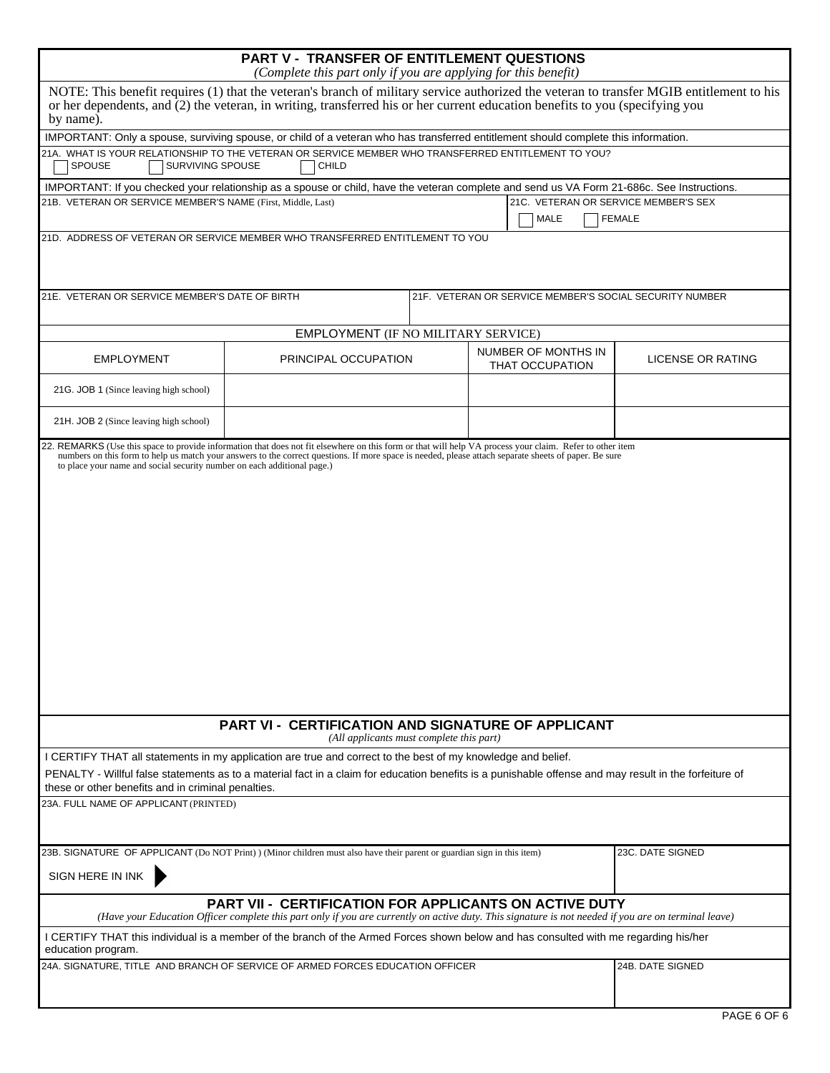|                                                                                                                                                                                                                                                                                                                              | <b>PART V - TRANSFER OF ENTITLEMENT QUESTIONS</b><br>(Complete this part only if you are applying for this benefit)                                                                                                                                                      |  |                                               |                                                         |  |  |
|------------------------------------------------------------------------------------------------------------------------------------------------------------------------------------------------------------------------------------------------------------------------------------------------------------------------------|--------------------------------------------------------------------------------------------------------------------------------------------------------------------------------------------------------------------------------------------------------------------------|--|-----------------------------------------------|---------------------------------------------------------|--|--|
| by name).                                                                                                                                                                                                                                                                                                                    | NOTE: This benefit requires (1) that the veteran's branch of military service authorized the veteran to transfer MGIB entitlement to his<br>or her dependents, and (2) the veteran, in writing, transferred his or her current education benefits to you (specifying you |  |                                               |                                                         |  |  |
| IMPORTANT: Only a spouse, surviving spouse, or child of a veteran who has transferred entitlement should complete this information.                                                                                                                                                                                          |                                                                                                                                                                                                                                                                          |  |                                               |                                                         |  |  |
| 21A. WHAT IS YOUR RELATIONSHIP TO THE VETERAN OR SERVICE MEMBER WHO TRANSFERRED ENTITLEMENT TO YOU?<br><b>SPOUSE</b><br>SURVIVING SPOUSE                                                                                                                                                                                     | CHILD                                                                                                                                                                                                                                                                    |  |                                               |                                                         |  |  |
| IMPORTANT: If you checked your relationship as a spouse or child, have the veteran complete and send us VA Form 21-686c. See Instructions.                                                                                                                                                                                   |                                                                                                                                                                                                                                                                          |  |                                               |                                                         |  |  |
| 21B. VETERAN OR SERVICE MEMBER'S NAME (First, Middle, Last)                                                                                                                                                                                                                                                                  |                                                                                                                                                                                                                                                                          |  | 21C. VETERAN OR SERVICE MEMBER'S SEX<br>MALE  | <b>FEMALE</b>                                           |  |  |
| 21D. ADDRESS OF VETERAN OR SERVICE MEMBER WHO TRANSFERRED ENTITLEMENT TO YOU                                                                                                                                                                                                                                                 |                                                                                                                                                                                                                                                                          |  |                                               |                                                         |  |  |
| 21E. VETERAN OR SERVICE MEMBER'S DATE OF BIRTH                                                                                                                                                                                                                                                                               |                                                                                                                                                                                                                                                                          |  |                                               | 21F. VETERAN OR SERVICE MEMBER'S SOCIAL SECURITY NUMBER |  |  |
|                                                                                                                                                                                                                                                                                                                              | EMPLOYMENT (IF NO MILITARY SERVICE)                                                                                                                                                                                                                                      |  |                                               |                                                         |  |  |
| <b>EMPLOYMENT</b>                                                                                                                                                                                                                                                                                                            | PRINCIPAL OCCUPATION                                                                                                                                                                                                                                                     |  | NUMBER OF MONTHS IN<br><b>THAT OCCUPATION</b> | LICENSE OR RATING                                       |  |  |
| 21G. JOB 1 (Since leaving high school)                                                                                                                                                                                                                                                                                       |                                                                                                                                                                                                                                                                          |  |                                               |                                                         |  |  |
| 21H. JOB 2 (Since leaving high school)                                                                                                                                                                                                                                                                                       |                                                                                                                                                                                                                                                                          |  |                                               |                                                         |  |  |
|                                                                                                                                                                                                                                                                                                                              |                                                                                                                                                                                                                                                                          |  |                                               |                                                         |  |  |
| <b>PART VI - CERTIFICATION AND SIGNATURE OF APPLICANT</b><br>(All applicants must complete this part)                                                                                                                                                                                                                        |                                                                                                                                                                                                                                                                          |  |                                               |                                                         |  |  |
| I CERTIFY THAT all statements in my application are true and correct to the best of my knowledge and belief.<br>PENALTY - Willful false statements as to a material fact in a claim for education benefits is a punishable offense and may result in the forfeiture of<br>these or other benefits and in criminal penalties. |                                                                                                                                                                                                                                                                          |  |                                               |                                                         |  |  |
| 23A. FULL NAME OF APPLICANT (PRINTED)                                                                                                                                                                                                                                                                                        |                                                                                                                                                                                                                                                                          |  |                                               |                                                         |  |  |
| 23B. SIGNATURE OF APPLICANT (Do NOT Print) ) (Minor children must also have their parent or guardian sign in this item)<br>SIGN HERE IN INK                                                                                                                                                                                  |                                                                                                                                                                                                                                                                          |  |                                               | 23C. DATE SIGNED                                        |  |  |
|                                                                                                                                                                                                                                                                                                                              | <b>PART VII - CERTIFICATION FOR APPLICANTS ON ACTIVE DUTY</b><br>(Have your Education Officer complete this part only if you are currently on active duty. This signature is not needed if you are on terminal leave)                                                    |  |                                               |                                                         |  |  |
| I CERTIFY THAT this individual is a member of the branch of the Armed Forces shown below and has consulted with me regarding his/her<br>education program.                                                                                                                                                                   |                                                                                                                                                                                                                                                                          |  |                                               |                                                         |  |  |
| 24A. SIGNATURE, TITLE AND BRANCH OF SERVICE OF ARMED FORCES EDUCATION OFFICER                                                                                                                                                                                                                                                |                                                                                                                                                                                                                                                                          |  |                                               | 24B. DATE SIGNED                                        |  |  |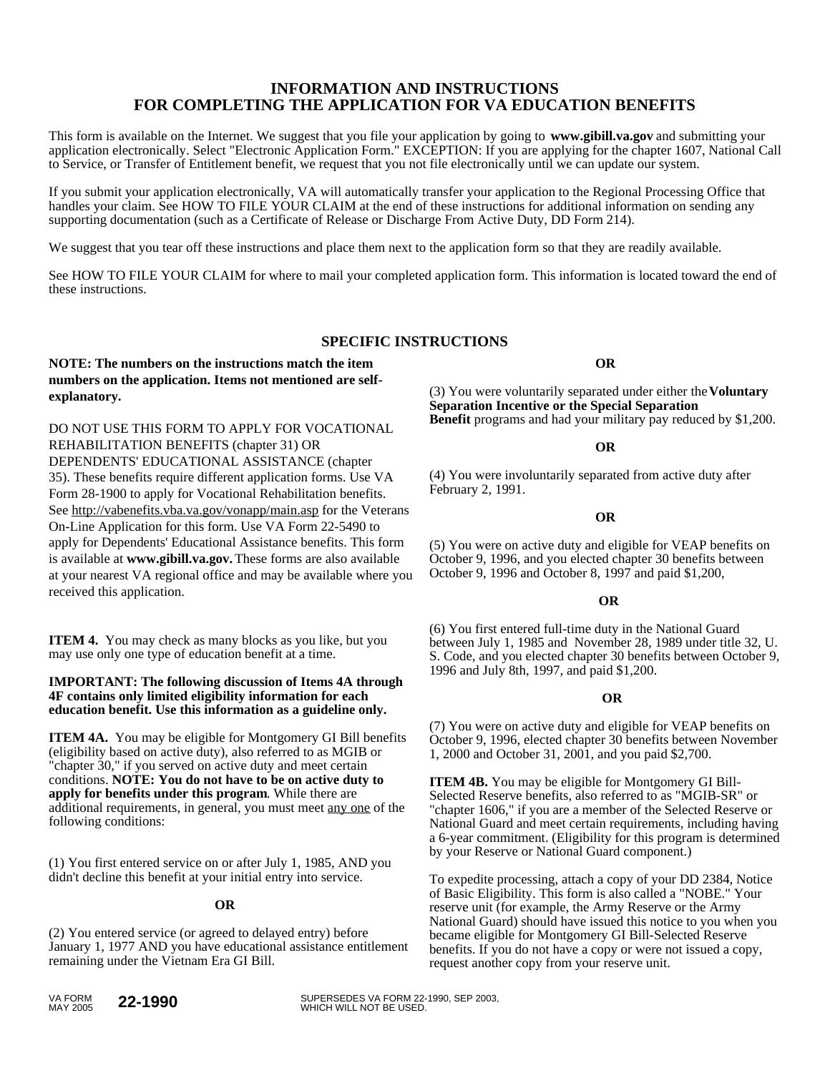# **INFORMATION AND INSTRUCTIONS FOR COMPLETING THE APPLICATION FOR VA EDUCATION BENEFITS**

This form is available on the Internet. We suggest that you file your application by going to **www.gibill.va.gov** and submitting your application electronically. Select "Electronic Application Form." EXCEPTION: If you are applying for the chapter 1607, National Call to Service, or Transfer of Entitlement benefit, we request that you not file electronically until we can update our system.

If you submit your application electronically, VA will automatically transfer your application to the Regional Processing Office that handles your claim. See HOW TO FILE YOUR CLAIM at the end of these instructions for additional information on sending any supporting documentation (such as a Certificate of Release or Discharge From Active Duty, DD Form 214).

We suggest that you tear off these instructions and place them next to the application form so that they are readily available.

See HOW TO FILE YOUR CLAIM for where to mail your completed application form. This information is located toward the end of these instructions.

# **SPECIFIC INSTRUCTIONS**

# **NOTE: The numbers on the instructions match the item numbers on the application. Items not mentioned are selfexplanatory.**

DO NOT USE THIS FORM TO APPLY FOR VOCATIONAL REHABILITATION BENEFITS (chapter 31) OR DEPENDENTS' EDUCATIONAL ASSISTANCE (chapter 35). These benefits require different application forms. Use VA Form 28-1900 to apply for Vocational Rehabilitation benefits. See http://vabenefits.vba.va.gov/vonapp/main.asp for the Veterans On-Line Application for this form. Use VA Form 22-5490 to apply for Dependents' Educational Assistance benefits. This form is available at **www.gibill.va.gov.** These forms are also available at your nearest VA regional office and may be available where you received this application.

**ITEM 4.** You may check as many blocks as you like, but you may use only one type of education benefit at a time.

#### **IMPORTANT: The following discussion of Items 4A through 4F contains only limited eligibility information for each education benefit. Use this information as a guideline only.**

**ITEM 4A.** You may be eligible for Montgomery GI Bill benefits (eligibility based on active duty), also referred to as MGIB or "chapter 30," if you served on active duty and meet certain conditions. **NOTE: You do not have to be on active duty to apply for benefits under this program**. While there are additional requirements, in general, you must meet any one of the following conditions:

(1) You first entered service on or after July 1, 1985, AND you didn't decline this benefit at your initial entry into service.

## **OR**

(2) You entered service (or agreed to delayed entry) before January 1, 1977 AND you have educational assistance entitlement remaining under the Vietnam Era GI Bill.

**OR** 

(3) You were voluntarily separated under either the **Voluntary Separation Incentive or the Special Separation Benefit** programs and had your military pay reduced by \$1,200.

### **OR**

(4) You were involuntarily separated from active duty after February 2, 1991.

### **OR**

(5) You were on active duty and eligible for VEAP benefits on October 9, 1996, and you elected chapter 30 benefits between October 9, 1996 and October 8, 1997 and paid \$1,200,

### *OR*

(6) You first entered full-time duty in the National Guard between July 1, 1985 and November 28, 1989 under title 32, U. S. Code, and you elected chapter 30 benefits between October 9, 1996 and July 8th, 1997, and paid \$1,200.

#### **OR**

(7) You were on active duty and eligible for VEAP benefits on October 9, 1996, elected chapter 30 benefits between November 1, 2000 and October 31, 2001, and you paid \$2,700.

**ITEM 4B.** You may be eligible for Montgomery GI Bill-Selected Reserve benefits, also referred to as "MGIB-SR" or "chapter 1606," if you are a member of the Selected Reserve or National Guard and meet certain requirements, including having a 6-year commitment. (Eligibility for this program is determined by your Reserve or National Guard component.)

To expedite processing, attach a copy of your DD 2384, Notice of Basic Eligibility. This form is also called a "NOBE." Your reserve unit (for example, the Army Reserve or the Army National Guard) should have issued this notice to you when you became eligible for Montgomery GI Bill-Selected Reserve benefits. If you do not have a copy or were not issued a copy, request another copy from your reserve unit.

**22-1990** SUPERSEDES VA FORM 22-1990, SEP 2003,<br>WHICH WILL NOT BE USED.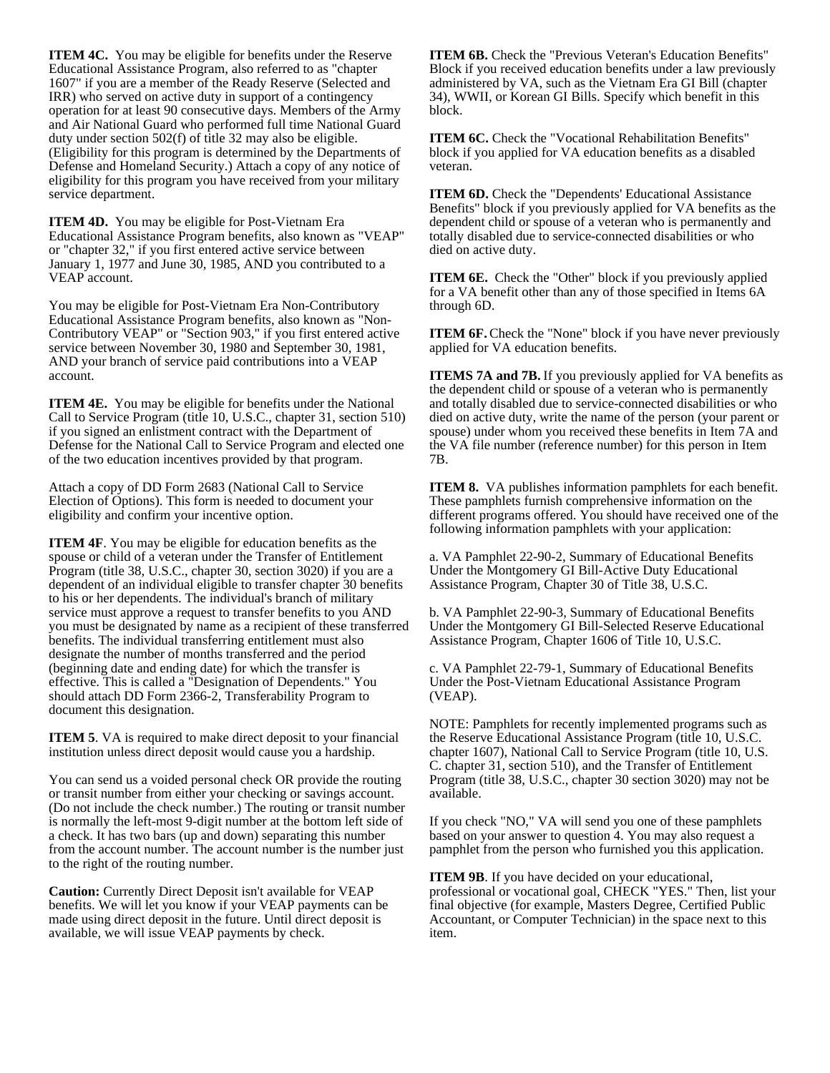**ITEM 4C.** You may be eligible for benefits under the Reserve Educational Assistance Program, also referred to as "chapter 1607" if you are a member of the Ready Reserve (Selected and IRR) who served on active duty in support of a contingency operation for at least 90 consecutive days. Members of the Army and Air National Guard who performed full time National Guard duty under section 502(f) of title 32 may also be eligible. (Eligibility for this program is determined by the Departments of Defense and Homeland Security.) Attach a copy of any notice of eligibility for this program you have received from your military service department.

**ITEM 4D.** You may be eligible for Post-Vietnam Era Educational Assistance Program benefits, also known as "VEAP" or "chapter 32," if you first entered active service between January 1, 1977 and June 30, 1985, AND you contributed to a VEAP account.

You may be eligible for Post-Vietnam Era Non-Contributory Educational Assistance Program benefits, also known as "Non-Contributory VEAP" or "Section 903," if you first entered active service between November 30, 1980 and September 30, 1981, AND your branch of service paid contributions into a VEAP account.

**ITEM 4E.** You may be eligible for benefits under the National Call to Service Program (title 10, U.S.C., chapter 31, section 510) if you signed an enlistment contract with the Department of Defense for the National Call to Service Program and elected one of the two education incentives provided by that program.

Attach a copy of DD Form 2683 (National Call to Service Election of Options). This form is needed to document your eligibility and confirm your incentive option.

**ITEM 4F.** You may be eligible for education benefits as the spouse or child of a veteran under the Transfer of Entitlement Program (title 38, U.S.C., chapter 30, section 3020) if you are a dependent of an individual eligible to transfer chapter 30 benefits to his or her dependents. The individual's branch of military service must approve a request to transfer benefits to you AND you must be designated by name as a recipient of these transferred benefits. The individual transferring entitlement must also designate the number of months transferred and the period (beginning date and ending date) for which the transfer is effective. This is called a "Designation of Dependents." You should attach DD Form 2366-2, Transferability Program to document this designation.

**ITEM 5**. VA is required to make direct deposit to your financial institution unless direct deposit would cause you a hardship.

You can send us a voided personal check OR provide the routing or transit number from either your checking or savings account. (Do not include the check number.) The routing or transit number is normally the left-most 9-digit number at the bottom left side of a check. It has two bars (up and down) separating this number from the account number. The account number is the number just to the right of the routing number.

**Caution:** Currently Direct Deposit isn't available for VEAP benefits. We will let you know if your VEAP payments can be made using direct deposit in the future. Until direct deposit is available, we will issue VEAP payments by check.

**ITEM 6B.** Check the "Previous Veteran's Education Benefits" Block if you received education benefits under a law previously administered by VA, such as the Vietnam Era GI Bill (chapter 34), WWII, or Korean GI Bills. Specify which benefit in this block.

**ITEM 6C.** Check the "Vocational Rehabilitation Benefits" block if you applied for VA education benefits as a disabled veteran.

**ITEM 6D.** Check the "Dependents' Educational Assistance Benefits" block if you previously applied for VA benefits as the dependent child or spouse of a veteran who is permanently and totally disabled due to service-connected disabilities or who died on active duty.

**ITEM 6E.** Check the "Other" block if you previously applied for a VA benefit other than any of those specified in Items 6A through 6D.

**ITEM 6F.** Check the "None" block if you have never previously applied for VA education benefits.

**ITEMS 7A and 7B.** If you previously applied for VA benefits as the dependent child or spouse of a veteran who is permanently and totally disabled due to service-connected disabilities or who died on active duty, write the name of the person (your parent or spouse) under whom you received these benefits in Item 7A and the VA file number (reference number) for this person in Item 7B.

**ITEM 8.** VA publishes information pamphlets for each benefit. These pamphlets furnish comprehensive information on the different programs offered. You should have received one of the following information pamphlets with your application:

a. VA Pamphlet 22-90-2, Summary of Educational Benefits Under the Montgomery GI Bill-Active Duty Educational Assistance Program, Chapter 30 of Title 38, U.S.C.

b. VA Pamphlet 22-90-3, Summary of Educational Benefits Under the Montgomery GI Bill-Selected Reserve Educational Assistance Program, Chapter 1606 of Title 10, U.S.C.

c. VA Pamphlet 22-79-1, Summary of Educational Benefits Under the Post-Vietnam Educational Assistance Program (VEAP).

NOTE: Pamphlets for recently implemented programs such as the Reserve Educational Assistance Program (title 10, U.S.C. chapter 1607), National Call to Service Program (title 10, U.S. C. chapter 31, section 510), and the Transfer of Entitlement Program (title 38, U.S.C., chapter 30 section 3020) may not be available.

If you check "NO," VA will send you one of these pamphlets based on your answer to question 4. You may also request a pamphlet from the person who furnished you this application.

**ITEM 9B**. If you have decided on your educational, professional or vocational goal, CHECK "YES." Then, list your final objective (for example, Masters Degree, Certified Public Accountant, or Computer Technician) in the space next to this item.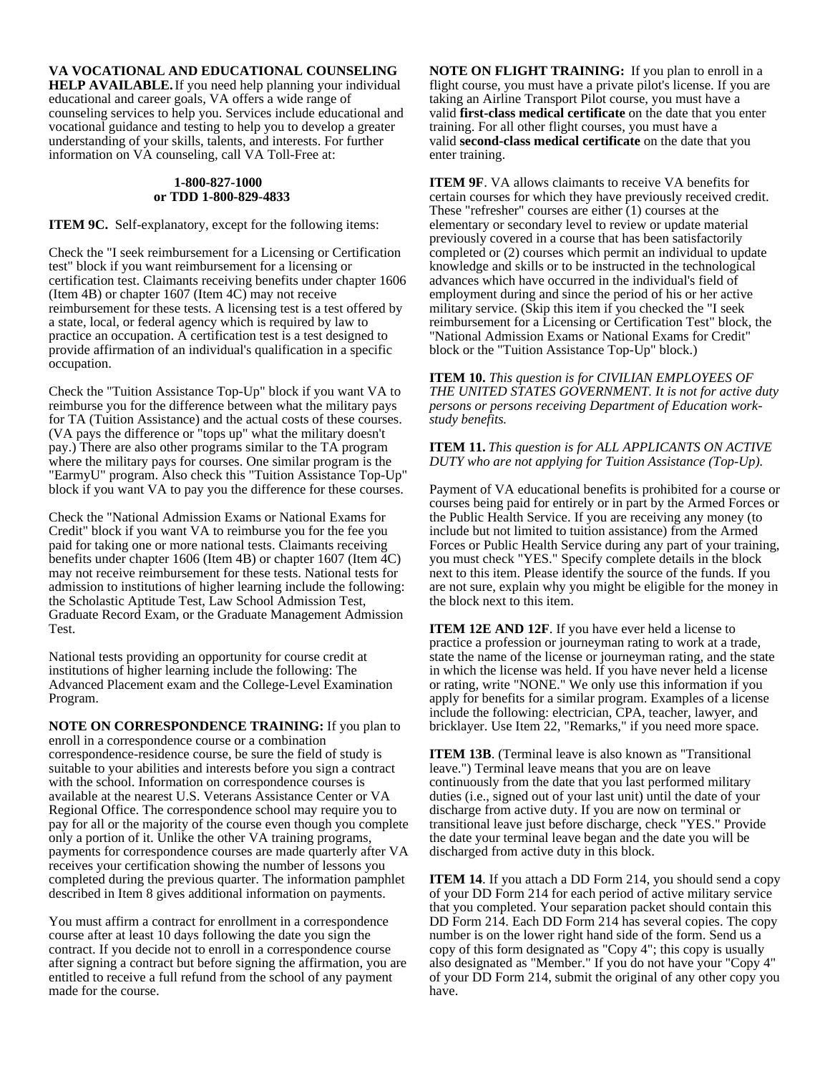**VA VOCATIONAL AND EDUCATIONAL COUNSELING**

**HELP AVAILABLE.** If you need help planning your individual educational and career goals, VA offers a wide range of counseling services to help you. Services include educational and vocational guidance and testing to help you to develop a greater understanding of your skills, talents, and interests. For further information on VA counseling, call VA Toll-Free at:

#### **1-800-827-1000 or TDD 1-800-829-4833**

**ITEM 9C.** Self-explanatory, except for the following items:

Check the "I seek reimbursement for a Licensing or Certification test" block if you want reimbursement for a licensing or certification test. Claimants receiving benefits under chapter 1606 (Item 4B) or chapter 1607 (Item 4C) may not receive reimbursement for these tests. A licensing test is a test offered by a state, local, or federal agency which is required by law to practice an occupation. A certification test is a test designed to provide affirmation of an individual's qualification in a specific occupation.

Check the "Tuition Assistance Top-Up" block if you want VA to reimburse you for the difference between what the military pays for TA (Tuition Assistance) and the actual costs of these courses. (VA pays the difference or "tops up" what the military doesn't pay.) There are also other programs similar to the TA program where the military pays for courses. One similar program is the "EarmyU" program. Also check this "Tuition Assistance Top-Up" block if you want VA to pay you the difference for these courses.

Check the "National Admission Exams or National Exams for Credit" block if you want VA to reimburse you for the fee you paid for taking one or more national tests. Claimants receiving benefits under chapter 1606 (Item 4B) or chapter 1607 (Item 4C) may not receive reimbursement for these tests. National tests for admission to institutions of higher learning include the following: the Scholastic Aptitude Test, Law School Admission Test, Graduate Record Exam, or the Graduate Management Admission Test.

National tests providing an opportunity for course credit at institutions of higher learning include the following: The Advanced Placement exam and the College-Level Examination Program.

**NOTE ON CORRESPONDENCE TRAINING:** If you plan to enroll in a correspondence course or a combination correspondence-residence course, be sure the field of study is suitable to your abilities and interests before you sign a contract with the school. Information on correspondence courses is available at the nearest U.S. Veterans Assistance Center or VA Regional Office. The correspondence school may require you to pay for all or the majority of the course even though you complete only a portion of it. Unlike the other VA training programs, payments for correspondence courses are made quarterly after VA receives your certification showing the number of lessons you completed during the previous quarter. The information pamphlet described in Item 8 gives additional information on payments.

You must affirm a contract for enrollment in a correspondence course after at least 10 days following the date you sign the contract. If you decide not to enroll in a correspondence course after signing a contract but before signing the affirmation, you are entitled to receive a full refund from the school of any payment made for the course.

**NOTE ON FLIGHT TRAINING:** If you plan to enroll in a flight course, you must have a private pilot's license. If you are taking an Airline Transport Pilot course, you must have a valid **first-class medical certificate** on the date that you enter training. For all other flight courses, you must have a valid **second-class medical certificate** on the date that you enter training.

**ITEM 9F.** VA allows claimants to receive VA benefits for certain courses for which they have previously received credit. These "refresher" courses are either (1) courses at the elementary or secondary level to review or update material previously covered in a course that has been satisfactorily completed or (2) courses which permit an individual to update knowledge and skills or to be instructed in the technological advances which have occurred in the individual's field of employment during and since the period of his or her active military service. (Skip this item if you checked the "I seek reimbursement for a Licensing or Certification Test" block, the "National Admission Exams or National Exams for Credit" block or the "Tuition Assistance Top-Up" block.)

**ITEM 10.** *This question is for CIVILIAN EMPLOYEES OF THE UNITED STATES GOVERNMENT. It is not for active duty persons or persons receiving Department of Education workstudy benefits.*

**ITEM 11.** *This question is for ALL APPLICANTS ON ACTIVE DUTY who are not applying for Tuition Assistance (Top-Up).*

Payment of VA educational benefits is prohibited for a course or courses being paid for entirely or in part by the Armed Forces or the Public Health Service. If you are receiving any money (to include but not limited to tuition assistance) from the Armed Forces or Public Health Service during any part of your training, you must check "YES." Specify complete details in the block next to this item. Please identify the source of the funds. If you are not sure, explain why you might be eligible for the money in the block next to this item.

**ITEM 12E AND 12F.** If you have ever held a license to practice a profession or journeyman rating to work at a trade, state the name of the license or journeyman rating, and the state in which the license was held. If you have never held a license or rating, write "NONE." We only use this information if you apply for benefits for a similar program. Examples of a license include the following: electrician, CPA, teacher, lawyer, and bricklayer. Use Item 22, "Remarks," if you need more space.

**ITEM 13B**. (Terminal leave is also known as "Transitional leave.") Terminal leave means that you are on leave continuously from the date that you last performed military duties (i.e., signed out of your last unit) until the date of your discharge from active duty. If you are now on terminal or transitional leave just before discharge, check "YES." Provide the date your terminal leave began and the date you will be discharged from active duty in this block.

**ITEM 14**. If you attach a DD Form 214, you should send a copy of your DD Form 214 for each period of active military service that you completed. Your separation packet should contain this DD Form 214. Each DD Form 214 has several copies. The copy number is on the lower right hand side of the form. Send us a copy of this form designated as "Copy 4"; this copy is usually also designated as "Member." If you do not have your "Copy 4" of your DD Form 214, submit the original of any other copy you have.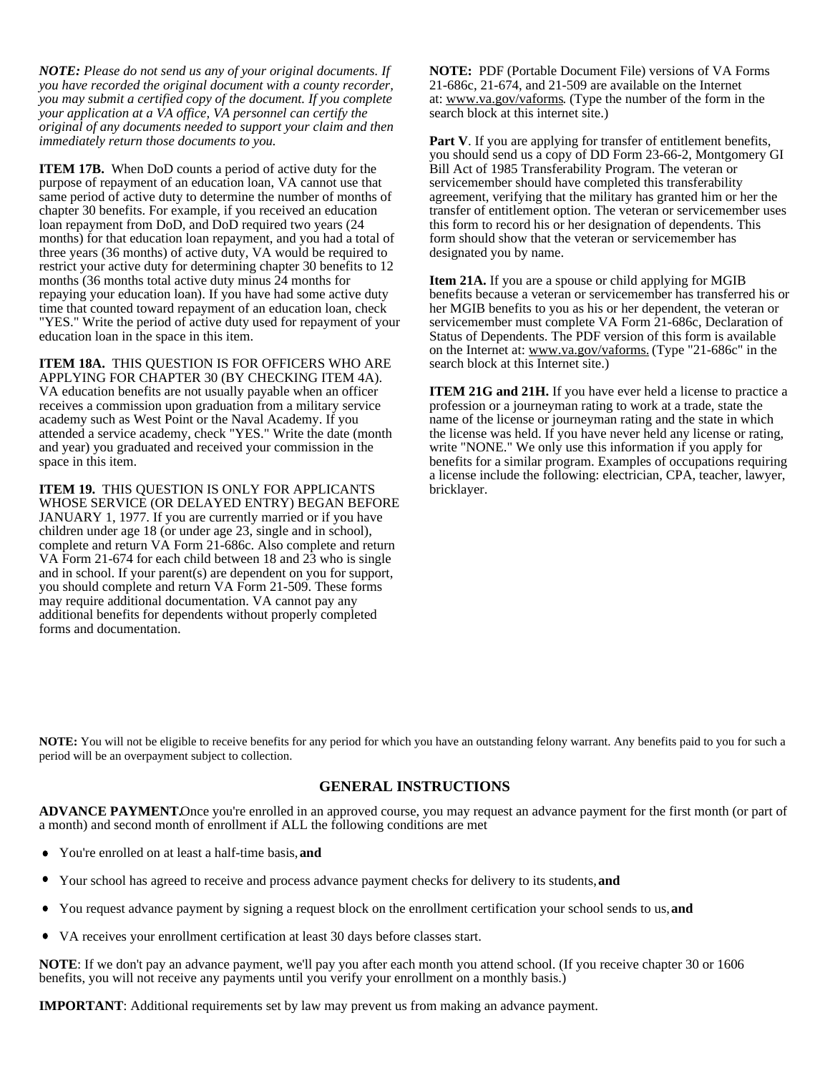*NOTE: Please do not send us any of your original documents. If you have recorded the original document with a county recorder, you may submit a certified copy of the document. If you complete your application at a VA office, VA personnel can certify the original of any documents needed to support your claim and then immediately return those documents to you.*

**ITEM 17B.** When DoD counts a period of active duty for the purpose of repayment of an education loan, VA cannot use that same period of active duty to determine the number of months of chapter 30 benefits. For example, if you received an education loan repayment from DoD, and DoD required two years (24 months) for that education loan repayment, and you had a total of three years (36 months) of active duty, VA would be required to restrict your active duty for determining chapter 30 benefits to 12 months (36 months total active duty minus 24 months for repaying your education loan). If you have had some active duty time that counted toward repayment of an education loan, check "YES." Write the period of active duty used for repayment of your education loan in the space in this item.

**ITEM 18A.** THIS QUESTION IS FOR OFFICERS WHO ARE APPLYING FOR CHAPTER 30 (BY CHECKING ITEM 4A). VA education benefits are not usually payable when an officer receives a commission upon graduation from a military service academy such as West Point or the Naval Academy. If you attended a service academy, check "YES." Write the date (month and year) you graduated and received your commission in the space in this item.

**ITEM 19.** THIS QUESTION IS ONLY FOR APPLICANTS WHOSE SERVICE (OR DELAYED ENTRY) BEGAN BEFORE JANUARY 1, 1977. If you are currently married or if you have children under age 18 (or under age 23, single and in school), complete and return VA Form 21-686c. Also complete and return VA Form 21-674 for each child between 18 and 23 who is single and in school. If your parent(s) are dependent on you for support, you should complete and return VA Form 21-509. These forms may require additional documentation. VA cannot pay any additional benefits for dependents without properly completed forms and documentation.

**NOTE:** PDF (Portable Document File) versions of VA Forms 21-686c, 21-674, and 21-509 are available on the Internet at: www.va.gov/vaforms. (Type the number of the form in the search block at this internet site.)

Part V. If you are applying for transfer of entitlement benefits, you should send us a copy of DD Form 23-66-2, Montgomery GI Bill Act of 1985 Transferability Program. The veteran or servicemember should have completed this transferability agreement, verifying that the military has granted him or her the transfer of entitlement option. The veteran or servicemember uses this form to record his or her designation of dependents. This form should show that the veteran or servicemember has designated you by name.

**Item 21A.** If you are a spouse or child applying for MGIB benefits because a veteran or servicemember has transferred his or her MGIB benefits to you as his or her dependent, the veteran or servicemember must complete VA Form 21-686c, Declaration of Status of Dependents. The PDF version of this form is available on the Internet at: www.va.gov/vaforms. (Type "21-686c" in the search block at this Internet site.)

**ITEM 21G and 21H.** If you have ever held a license to practice a profession or a journeyman rating to work at a trade, state the name of the license or journeyman rating and the state in which the license was held. If you have never held any license or rating, write "NONE." We only use this information if you apply for benefits for a similar program. Examples of occupations requiring a license include the following: electrician, CPA, teacher, lawyer, bricklayer.

**NOTE:** You will not be eligible to receive benefits for any period for which you have an outstanding felony warrant. Any benefits paid to you for such a period will be an overpayment subject to collection.

# **GENERAL INSTRUCTIONS**

**ADVANCE PAYMENT.** Once you're enrolled in an approved course, you may request an advance payment for the first month (or part of a month) and second month of enrollment if ALL the following conditions are met

- You're enrolled on at least a half-time basis, **and**
- Your school has agreed to receive and process advance payment checks for delivery to its students, **and**
- You request advance payment by signing a request block on the enrollment certification your school sends to us, **and**
- VA receives your enrollment certification at least 30 days before classes start.

**NOTE**: If we don't pay an advance payment, we'll pay you after each month you attend school. (If you receive chapter 30 or 1606 benefits, you will not receive any payments until you verify your enrollment on a monthly basis.)

**IMPORTANT**: Additional requirements set by law may prevent us from making an advance payment.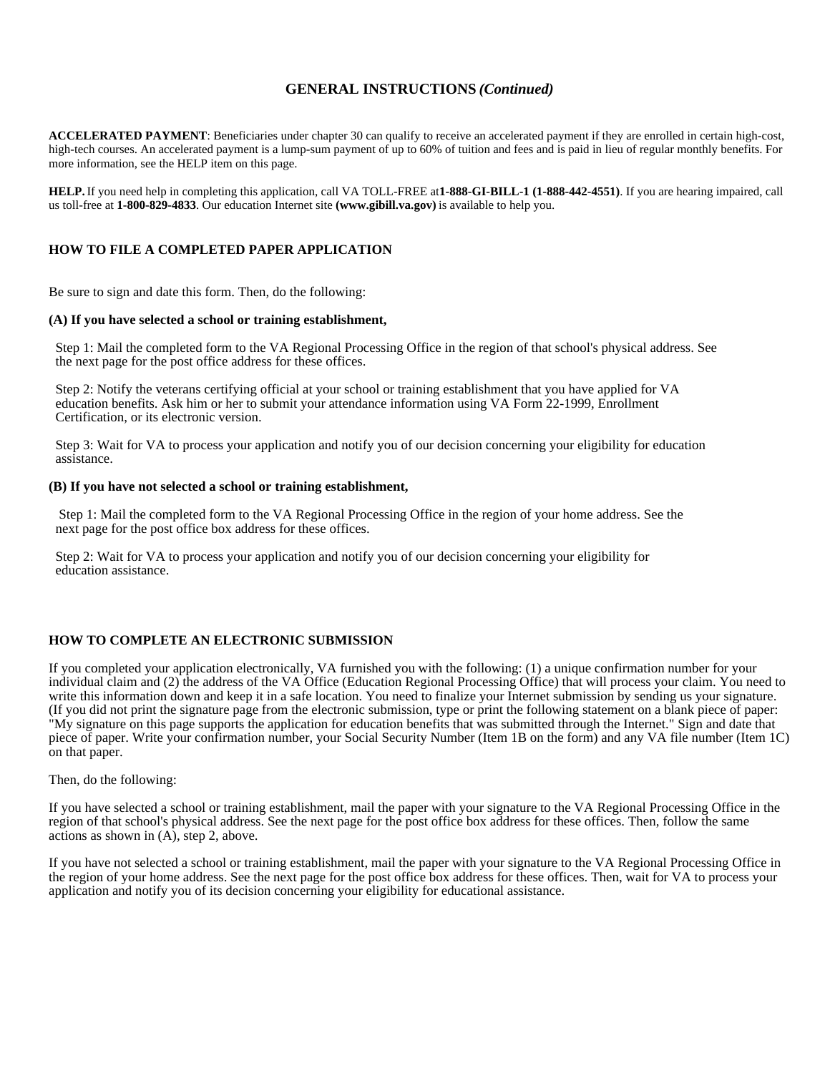# **GENERAL INSTRUCTIONS** *(Continued)*

**ACCELERATED PAYMENT**: Beneficiaries under chapter 30 can qualify to receive an accelerated payment if they are enrolled in certain high-cost, high-tech courses. An accelerated payment is a lump-sum payment of up to 60% of tuition and fees and is paid in lieu of regular monthly benefits. For more information, see the HELP item on this page.

**HELP.** If you need help in completing this application, call VA TOLL-FREE at **1-888-GI-BILL-1 (1-888-442-4551)**. If you are hearing impaired, call us toll-free at **1-800-829-4833**. Our education Internet site **(www.gibill.va.gov)** is available to help you.

# **HOW TO FILE A COMPLETED PAPER APPLICATION**

Be sure to sign and date this form. Then, do the following:

## **(A) If you have selected a school or training establishment,**

 Step 1: Mail the completed form to the VA Regional Processing Office in the region of that school's physical address. See the next page for the post office address for these offices.

 Step 2: Notify the veterans certifying official at your school or training establishment that you have applied for VA education benefits. Ask him or her to submit your attendance information using VA Form 22-1999, Enrollment Certification, or its electronic version.

 Step 3: Wait for VA to process your application and notify you of our decision concerning your eligibility for education assistance.

### **(B) If you have not selected a school or training establishment,**

Step 1: Mail the completed form to the VA Regional Processing Office in the region of your home address. See the next page for the post office box address for these offices.

 Step 2: Wait for VA to process your application and notify you of our decision concerning your eligibility for education assistance.

## **HOW TO COMPLETE AN ELECTRONIC SUBMISSION**

If you completed your application electronically, VA furnished you with the following: (1) a unique confirmation number for your individual claim and (2) the address of the VA Office (Education Regional Processing Office) that will process your claim. You need to write this information down and keep it in a safe location. You need to finalize your Internet submission by sending us your signature. (If you did not print the signature page from the electronic submission, type or print the following statement on a blank piece of paper: "My signature on this page supports the application for education benefits that was submitted through the Internet." Sign and date that piece of paper. Write your confirmation number, your Social Security Number (Item 1B on the form) and any VA file number (Item 1C) on that paper.

Then, do the following:

If you have selected a school or training establishment, mail the paper with your signature to the VA Regional Processing Office in the region of that school's physical address. See the next page for the post office box address for these offices. Then, follow the same actions as shown in (A), step 2, above.

If you have not selected a school or training establishment, mail the paper with your signature to the VA Regional Processing Office in the region of your home address. See the next page for the post office box address for these offices. Then, wait for VA to process your application and notify you of its decision concerning your eligibility for educational assistance.